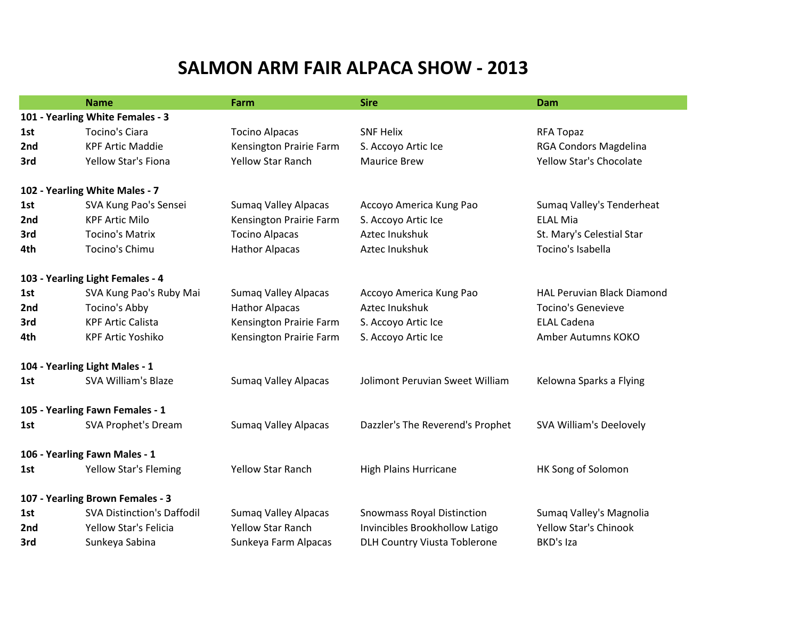## **SALMON ARM FAIR ALPACA SHOW - 2013**

|                                  | <b>Name</b>                       | Farm                        | <b>Sire</b>                         | Dam                               |  |  |  |
|----------------------------------|-----------------------------------|-----------------------------|-------------------------------------|-----------------------------------|--|--|--|
| 101 - Yearling White Females - 3 |                                   |                             |                                     |                                   |  |  |  |
| 1st                              | <b>Tocino's Ciara</b>             | <b>Tocino Alpacas</b>       | <b>SNF Helix</b>                    | <b>RFA Topaz</b>                  |  |  |  |
| 2nd                              | <b>KPF Artic Maddie</b>           | Kensington Prairie Farm     | S. Accoyo Artic Ice                 | RGA Condors Magdelina             |  |  |  |
| 3rd                              | Yellow Star's Fiona               | <b>Yellow Star Ranch</b>    | <b>Maurice Brew</b>                 | <b>Yellow Star's Chocolate</b>    |  |  |  |
| 102 - Yearling White Males - 7   |                                   |                             |                                     |                                   |  |  |  |
| 1st                              | SVA Kung Pao's Sensei             | <b>Sumaq Valley Alpacas</b> | Accoyo America Kung Pao             | Sumaq Valley's Tenderheat         |  |  |  |
| 2nd                              | <b>KPF Artic Milo</b>             | Kensington Prairie Farm     | S. Accoyo Artic Ice                 | <b>ELAL Mia</b>                   |  |  |  |
| 3rd                              | <b>Tocino's Matrix</b>            | <b>Tocino Alpacas</b>       | Aztec Inukshuk                      | St. Mary's Celestial Star         |  |  |  |
| 4th                              | Tocino's Chimu                    | <b>Hathor Alpacas</b>       | Aztec Inukshuk                      | Tocino's Isabella                 |  |  |  |
| 103 - Yearling Light Females - 4 |                                   |                             |                                     |                                   |  |  |  |
| 1st                              | SVA Kung Pao's Ruby Mai           | <b>Sumaq Valley Alpacas</b> | Accoyo America Kung Pao             | <b>HAL Peruvian Black Diamond</b> |  |  |  |
| 2nd                              | Tocino's Abby                     | <b>Hathor Alpacas</b>       | Aztec Inukshuk                      | <b>Tocino's Genevieve</b>         |  |  |  |
| 3rd                              | <b>KPF Artic Calista</b>          | Kensington Prairie Farm     | S. Accoyo Artic Ice                 | <b>ELAL Cadena</b>                |  |  |  |
| 4th                              | <b>KPF Artic Yoshiko</b>          | Kensington Prairie Farm     | S. Accoyo Artic Ice                 | Amber Autumns KOKO                |  |  |  |
| 104 - Yearling Light Males - 1   |                                   |                             |                                     |                                   |  |  |  |
| 1st                              | <b>SVA William's Blaze</b>        | <b>Sumaq Valley Alpacas</b> | Jolimont Peruvian Sweet William     | Kelowna Sparks a Flying           |  |  |  |
| 105 - Yearling Fawn Females - 1  |                                   |                             |                                     |                                   |  |  |  |
| 1st                              | <b>SVA Prophet's Dream</b>        | <b>Sumaq Valley Alpacas</b> | Dazzler's The Reverend's Prophet    | SVA William's Deelovely           |  |  |  |
| 106 - Yearling Fawn Males - 1    |                                   |                             |                                     |                                   |  |  |  |
| 1st                              | <b>Yellow Star's Fleming</b>      | <b>Yellow Star Ranch</b>    | <b>High Plains Hurricane</b>        | HK Song of Solomon                |  |  |  |
| 107 - Yearling Brown Females - 3 |                                   |                             |                                     |                                   |  |  |  |
| 1st                              | <b>SVA Distinction's Daffodil</b> | <b>Sumaq Valley Alpacas</b> | <b>Snowmass Royal Distinction</b>   | Sumaq Valley's Magnolia           |  |  |  |
| 2nd                              | Yellow Star's Felicia             | <b>Yellow Star Ranch</b>    | Invincibles Brookhollow Latigo      | <b>Yellow Star's Chinook</b>      |  |  |  |
| 3rd                              | Sunkeya Sabina                    | Sunkeya Farm Alpacas        | <b>DLH Country Viusta Toblerone</b> | BKD's Iza                         |  |  |  |
|                                  |                                   |                             |                                     |                                   |  |  |  |